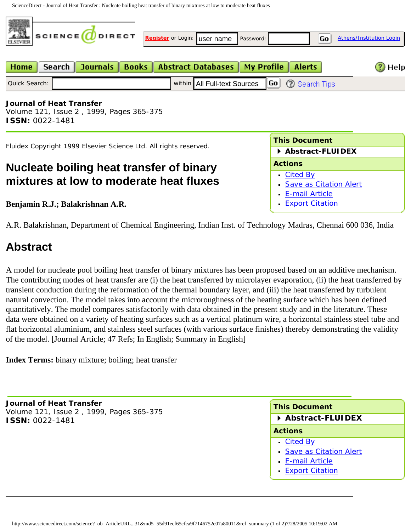ScienceDirect - Journal of Heat Transfer : Nucleate boiling heat transfer of binary mixtures at low to moderate heat fluxes



Volume 121, Issue 2 , 1999, Pages 365-375 **ISSN:** 0022-1481

Fluidex Copyright 1999 Elsevier Science Ltd. All rights reserved.

## **Nucleate boiling heat transfer of binary mixtures at low to moderate heat fluxes**

**Benjamin R.J.; Balakrishnan A.R.** 

A.R. Balakrishnan, Department of Chemical Engineering, Indian Inst. of Technology Madras, Chennai 600 036, India

## **Abstract**

A model for nucleate pool boiling heat transfer of binary mixtures has been proposed based on an additive mechanism. The contributing modes of heat transfer are (i) the heat transferred by microlayer evaporation, (ii) the heat transferred by transient conduction during the reformation of the thermal boundary layer, and (iii) the heat transferred by turbulent natural convection. The model takes into account the microroughness of the heating surface which has been defined quantitatively. The model compares satisfactorily with data obtained in the present study and in the literature. These data were obtained on a variety of heating surfaces such as a vertical platinum wire, a horizontal stainless steel tube and flat horizontal aluminium, and stainless steel surfaces (with various surface finishes) thereby demonstrating the validity of the model. [Journal Article; 47 Refs; In English; Summary in English] **Home Search | Journals | Books | Abstract Databases | My Profile | Alerts | Marine Sources | Com/science | Article Copyright 1999 Element Computer | Alerts | Sources | Octo | 2007 AM Using The Copyright 1999 Dianet Trans** 

**Index Terms:** binary mixture; boiling; heat transfer

**Journal of Heat Transfer** Volume 121, Issue 2 , 1999, Pages 365-375 **ISSN:** 0022-1481

## **This Document**

**This Document**

**Actions**

**[Cited By](http://www.sciencedirect.com/science?_ob=CitedSearchURL&_method=submitSearch&_udi=B6WR0-3XHH369-2CY&_alid=0&_rdoc=0&_fmt=summary&_orig=search&dest=list&_tockey=&_orig_alid=&sterms=%23refsrchkey%23e%23Benjamin%231999%23365%23375%23R%23&source=citedSrcs&_acct=C000025838&_version=1&_userid=518931&md5=1b933c650f450fdbcb8ba193c1025e93)** 

[E-mail Article](http://www.sciencedirect.com/science?_ob=EmailFriendURL&_method=gatherInfo&encodedHandle=V-WA-A-W-A-MsSAYWW-UUW-U-AAWCAWWAYW-AAWWDUWEYW-WCWBZDBDY-A-U&refSource=abst&_rdoc=1&_acct=C000025838&_version=1&_userid=518931&md5=7f8bef6374115f21369f403268526da7) [Export Citation](http://www.sciencedirect.com/science?_ob=DownloadURL&_method=confirm&encodedHandle=V-WA-A-W-A-MsSAYWW-UUW-U-AAWCAWWAYW-AAWWDUWEYW-WCWBZDBDY-A-U&count=1&_rdoc=1&_docType=FLA&_acct=C000025838&_version=1&_userid=518931&md5=7ef252686ea905ab115e13aaa6c52f6a)

**Abstract-FLUIDEX**

[Save as Citation Alert](http://www.sciencedirect.com/science?_ob=CitedSearchURL&_method=submitSearch&_udi=B6WR0-3XHH369-2CY&_alid=0&_rdoc=0&_fmt=summary&_orig=search&dest=save&_tockey=&_orig_alid=&sterms=%23refsrchkey%23e%23Benjamin%231999%23365%23375%23R%23&source=citedSrcs&_acct=C000025838&_version=1&_userid=518931&md5=1b933c650f450fdbcb8ba193c1025e93)

**Abstract-FLUIDEX**

## **Actions**

- [Cited By](http://www.sciencedirect.com/science?_ob=CitedSearchURL&_method=submitSearch&_udi=B6WR0-3XHH369-2CY&_alid=0&_rdoc=0&_fmt=summary&_orig=search&dest=list&_tockey=&_orig_alid=&sterms=%23refsrchkey%23e%23Benjamin%231999%23365%23375%23R%23&source=citedSrcs&_acct=C000025838&_version=1&_userid=518931&md5=1b933c650f450fdbcb8ba193c1025e93)
- [Save as Citation Alert](http://www.sciencedirect.com/science?_ob=CitedSearchURL&_method=submitSearch&_udi=B6WR0-3XHH369-2CY&_alid=0&_rdoc=0&_fmt=summary&_orig=search&dest=save&_tockey=&_orig_alid=&sterms=%23refsrchkey%23e%23Benjamin%231999%23365%23375%23R%23&source=citedSrcs&_acct=C000025838&_version=1&_userid=518931&md5=1b933c650f450fdbcb8ba193c1025e93)
- **[E-mail Article](http://www.sciencedirect.com/science?_ob=EmailFriendURL&_method=gatherInfo&encodedHandle=V-WA-A-W-A-MsSAYWW-UUW-U-AAWCAWWAYW-AAWWDUWEYW-WCWBZDBDY-A-U&refSource=abst&_rdoc=1&_acct=C000025838&_version=1&_userid=518931&md5=7f8bef6374115f21369f403268526da7)**
- **[Export Citation](http://www.sciencedirect.com/science?_ob=DownloadURL&_method=confirm&encodedHandle=V-WA-A-W-A-MsSAYWW-UUW-U-AAWCAWWAYW-AAWWDUWEYW-WCWBZDBDY-A-U&count=1&_rdoc=1&_docType=FLA&_acct=C000025838&_version=1&_userid=518931&md5=7ef252686ea905ab115e13aaa6c52f6a)**